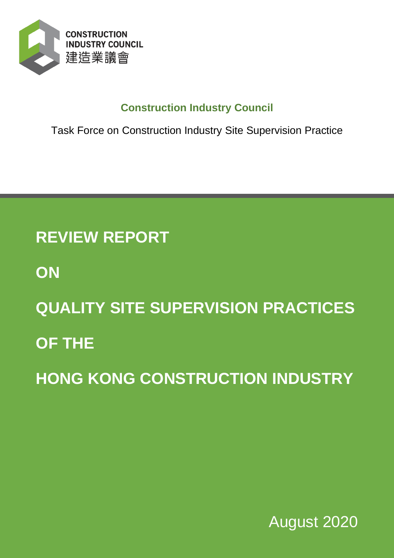

# **Construction Industry Council**

Task Force on Construction Industry Site Supervision Practice

# **REVIEW REPORT**

- **ON**
- **QUALITY SITE SUPERVISION PRACTICES**
- **OF THE**

**HONG KONG CONSTRUCTION INDUSTRY**

August 2020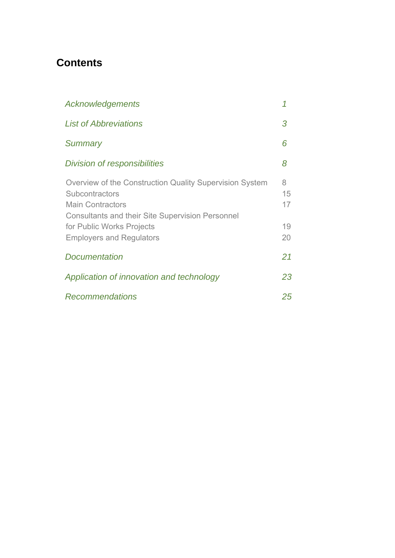# **Contents**

| Acknowledgements                                                                                                                                                                                                                | 1                         |
|---------------------------------------------------------------------------------------------------------------------------------------------------------------------------------------------------------------------------------|---------------------------|
| <b>List of Abbreviations</b>                                                                                                                                                                                                    | 3                         |
| <b>Summary</b>                                                                                                                                                                                                                  | 6                         |
| Division of responsibilities                                                                                                                                                                                                    | 8                         |
| Overview of the Construction Quality Supervision System<br>Subcontractors<br><b>Main Contractors</b><br><b>Consultants and their Site Supervision Personnel</b><br>for Public Works Projects<br><b>Employers and Regulators</b> | 8<br>15<br>17<br>19<br>20 |
| <b>Documentation</b>                                                                                                                                                                                                            | 21                        |
| Application of innovation and technology                                                                                                                                                                                        | 23                        |
| <b>Recommendations</b>                                                                                                                                                                                                          | 25                        |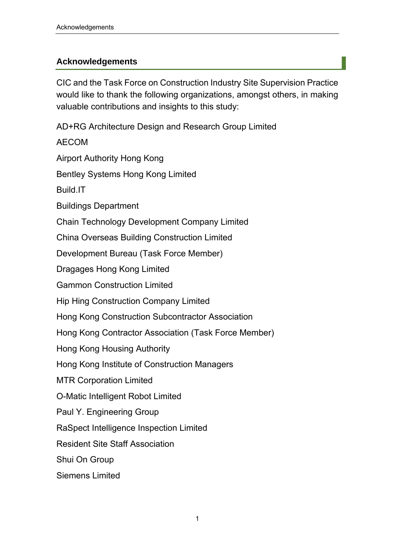#### **Acknowledgements**

CIC and the Task Force on Construction Industry Site Supervision Practice would like to thank the following organizations, amongst others, in making valuable contributions and insights to this study:

AD+RG Architecture Design and Research Group Limited

AECOM

Airport Authority Hong Kong

Bentley Systems Hong Kong Limited

Build.IT

Buildings Department

Chain Technology Development Company Limited

China Overseas Building Construction Limited

Development Bureau (Task Force Member)

Dragages Hong Kong Limited

Gammon Construction Limited

Hip Hing Construction Company Limited

Hong Kong Construction Subcontractor Association

Hong Kong Contractor Association (Task Force Member)

Hong Kong Housing Authority

Hong Kong Institute of Construction Managers

MTR Corporation Limited

O-Matic Intelligent Robot Limited

Paul Y. Engineering Group

RaSpect Intelligence Inspection Limited

Resident Site Staff Association

Shui On Group

Siemens Limited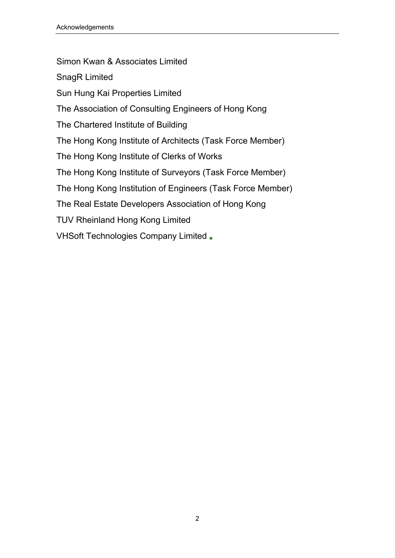Simon Kwan & Associates Limited SnagR Limited Sun Hung Kai Properties Limited The Association of Consulting Engineers of Hong Kong The Chartered Institute of Building The Hong Kong Institute of Architects (Task Force Member) The Hong Kong Institute of Clerks of Works The Hong Kong Institute of Surveyors (Task Force Member) The Hong Kong Institution of Engineers (Task Force Member) The Real Estate Developers Association of Hong Kong TUV Rheinland Hong Kong Limited VHSoft Technologies Company Limited ■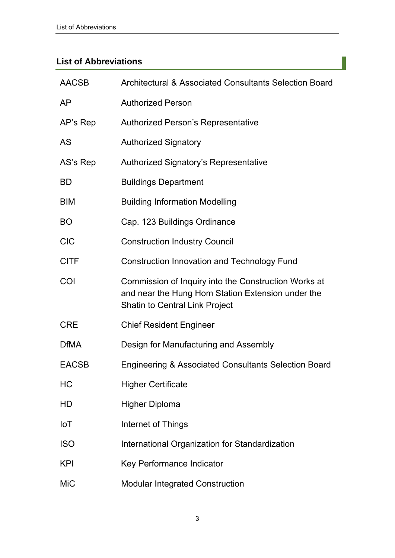## **List of Abbreviations**

| <b>AACSB</b> | Architectural & Associated Consultants Selection Board                                                                                             |  |  |  |
|--------------|----------------------------------------------------------------------------------------------------------------------------------------------------|--|--|--|
| AP           | <b>Authorized Person</b>                                                                                                                           |  |  |  |
| AP's Rep     | Authorized Person's Representative                                                                                                                 |  |  |  |
| <b>AS</b>    | <b>Authorized Signatory</b>                                                                                                                        |  |  |  |
| AS's Rep     | <b>Authorized Signatory's Representative</b>                                                                                                       |  |  |  |
| <b>BD</b>    | <b>Buildings Department</b>                                                                                                                        |  |  |  |
| <b>BIM</b>   | <b>Building Information Modelling</b>                                                                                                              |  |  |  |
| <b>BO</b>    | Cap. 123 Buildings Ordinance                                                                                                                       |  |  |  |
| <b>CIC</b>   | <b>Construction Industry Council</b>                                                                                                               |  |  |  |
| <b>CITF</b>  | <b>Construction Innovation and Technology Fund</b>                                                                                                 |  |  |  |
| COI          | Commission of Inquiry into the Construction Works at<br>and near the Hung Hom Station Extension under the<br><b>Shatin to Central Link Project</b> |  |  |  |
| <b>CRE</b>   | <b>Chief Resident Engineer</b>                                                                                                                     |  |  |  |
| <b>DfMA</b>  | Design for Manufacturing and Assembly                                                                                                              |  |  |  |
| <b>EACSB</b> | <b>Engineering &amp; Associated Consultants Selection Board</b>                                                                                    |  |  |  |
| HC           | <b>Higher Certificate</b>                                                                                                                          |  |  |  |
| HD           | <b>Higher Diploma</b>                                                                                                                              |  |  |  |
| <b>IoT</b>   | Internet of Things                                                                                                                                 |  |  |  |
| <b>ISO</b>   | International Organization for Standardization                                                                                                     |  |  |  |
| <b>KPI</b>   | Key Performance Indicator                                                                                                                          |  |  |  |
| <b>MiC</b>   | <b>Modular Integrated Construction</b>                                                                                                             |  |  |  |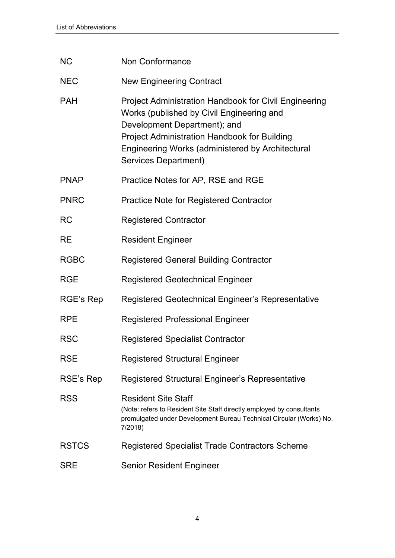| <b>NC</b>    | <b>Non Conformance</b>                                                                                                                                                                                                                                                |  |  |  |
|--------------|-----------------------------------------------------------------------------------------------------------------------------------------------------------------------------------------------------------------------------------------------------------------------|--|--|--|
| <b>NEC</b>   | <b>New Engineering Contract</b>                                                                                                                                                                                                                                       |  |  |  |
| <b>PAH</b>   | <b>Project Administration Handbook for Civil Engineering</b><br>Works (published by Civil Engineering and<br>Development Department); and<br>Project Administration Handbook for Building<br>Engineering Works (administered by Architectural<br>Services Department) |  |  |  |
| <b>PNAP</b>  | Practice Notes for AP, RSE and RGE                                                                                                                                                                                                                                    |  |  |  |
| <b>PNRC</b>  | <b>Practice Note for Registered Contractor</b>                                                                                                                                                                                                                        |  |  |  |
| <b>RC</b>    | <b>Registered Contractor</b>                                                                                                                                                                                                                                          |  |  |  |
| <b>RE</b>    | <b>Resident Engineer</b>                                                                                                                                                                                                                                              |  |  |  |
| <b>RGBC</b>  | <b>Registered General Building Contractor</b>                                                                                                                                                                                                                         |  |  |  |
| <b>RGE</b>   | <b>Registered Geotechnical Engineer</b>                                                                                                                                                                                                                               |  |  |  |
| RGE's Rep    | Registered Geotechnical Engineer's Representative                                                                                                                                                                                                                     |  |  |  |
| <b>RPE</b>   | <b>Registered Professional Engineer</b>                                                                                                                                                                                                                               |  |  |  |
| <b>RSC</b>   | <b>Registered Specialist Contractor</b>                                                                                                                                                                                                                               |  |  |  |
| <b>RSE</b>   | <b>Registered Structural Engineer</b>                                                                                                                                                                                                                                 |  |  |  |
| RSE's Rep    | Registered Structural Engineer's Representative                                                                                                                                                                                                                       |  |  |  |
| <b>RSS</b>   | <b>Resident Site Staff</b><br>(Note: refers to Resident Site Staff directly employed by consultants<br>promulgated under Development Bureau Technical Circular (Works) No.<br>7/2018)                                                                                 |  |  |  |
| <b>RSTCS</b> | Registered Specialist Trade Contractors Scheme                                                                                                                                                                                                                        |  |  |  |
| <b>SRE</b>   | <b>Senior Resident Engineer</b>                                                                                                                                                                                                                                       |  |  |  |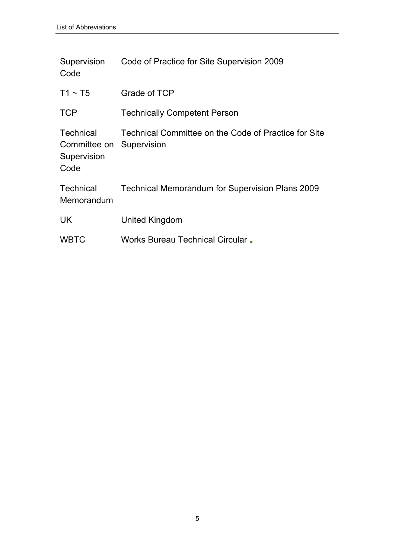| Supervision<br>Code                                     | Code of Practice for Site Supervision 2009                          |
|---------------------------------------------------------|---------------------------------------------------------------------|
| $T1 \sim T5$                                            | Grade of TCP                                                        |
| <b>TCP</b>                                              | <b>Technically Competent Person</b>                                 |
| <b>Technical</b><br>Committee on<br>Supervision<br>Code | Technical Committee on the Code of Practice for Site<br>Supervision |
| <b>Technical</b><br>Memorandum                          | <b>Technical Memorandum for Supervision Plans 2009</b>              |
| <b>UK</b>                                               | United Kingdom                                                      |
| <b>WBTC</b>                                             | Works Bureau Technical Circular .                                   |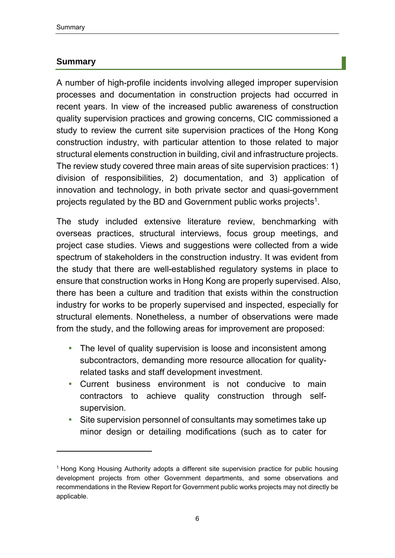#### **Summary**

-

A number of high-profile incidents involving alleged improper supervision processes and documentation in construction projects had occurred in recent years. In view of the increased public awareness of construction quality supervision practices and growing concerns, CIC commissioned a study to review the current site supervision practices of the Hong Kong construction industry, with particular attention to those related to major structural elements construction in building, civil and infrastructure projects. The review study covered three main areas of site supervision practices: 1) division of responsibilities, 2) documentation, and 3) application of innovation and technology, in both private sector and quasi-government projects regulated by the BD and Government public works projects<sup>1</sup>.

The study included extensive literature review, benchmarking with overseas practices, structural interviews, focus group meetings, and project case studies. Views and suggestions were collected from a wide spectrum of stakeholders in the construction industry. It was evident from the study that there are well-established regulatory systems in place to ensure that construction works in Hong Kong are properly supervised. Also, there has been a culture and tradition that exists within the construction industry for works to be properly supervised and inspected, especially for structural elements. Nonetheless, a number of observations were made from the study, and the following areas for improvement are proposed:

- The level of quality supervision is loose and inconsistent among subcontractors, demanding more resource allocation for qualityrelated tasks and staff development investment.
- Current business environment is not conducive to main contractors to achieve quality construction through selfsupervision.
- Site supervision personnel of consultants may sometimes take up minor design or detailing modifications (such as to cater for

<sup>1</sup> Hong Kong Housing Authority adopts a different site supervision practice for public housing development projects from other Government departments, and some observations and recommendations in the Review Report for Government public works projects may not directly be applicable.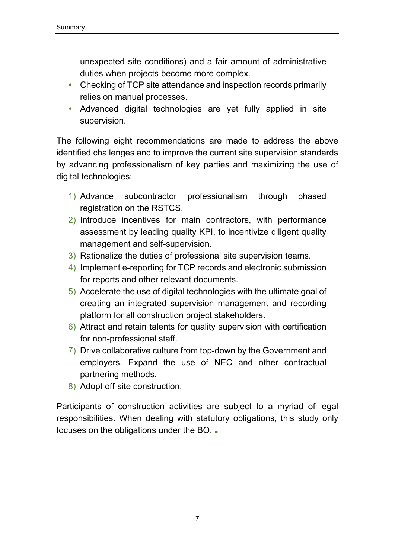unexpected site conditions) and a fair amount of administrative duties when projects become more complex.

- Checking of TCP site attendance and inspection records primarily relies on manual processes.
- Advanced digital technologies are yet fully applied in site supervision.

The following eight recommendations are made to address the above identified challenges and to improve the current site supervision standards by advancing professionalism of key parties and maximizing the use of digital technologies:

- 1) Advance subcontractor professionalism through phased registration on the RSTCS.
- 2) Introduce incentives for main contractors, with performance assessment by leading quality KPI, to incentivize diligent quality management and self-supervision.
- 3) Rationalize the duties of professional site supervision teams.
- 4) Implement e-reporting for TCP records and electronic submission for reports and other relevant documents.
- 5) Accelerate the use of digital technologies with the ultimate goal of creating an integrated supervision management and recording platform for all construction project stakeholders.
- 6) Attract and retain talents for quality supervision with certification for non-professional staff.
- 7) Drive collaborative culture from top-down by the Government and employers. Expand the use of NEC and other contractual partnering methods.
- 8) Adopt off-site construction.

Participants of construction activities are subject to a myriad of legal responsibilities. When dealing with statutory obligations, this study only focuses on the obligations under the BO. ■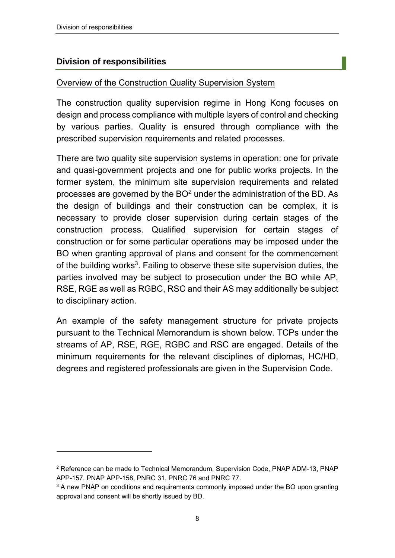-

#### **Division of responsibilities**

#### Overview of the Construction Quality Supervision System

The construction quality supervision regime in Hong Kong focuses on design and process compliance with multiple layers of control and checking by various parties. Quality is ensured through compliance with the prescribed supervision requirements and related processes.

There are two quality site supervision systems in operation: one for private and quasi-government projects and one for public works projects. In the former system, the minimum site supervision requirements and related processes are governed by the  $BO<sup>2</sup>$  under the administration of the BD. As the design of buildings and their construction can be complex, it is necessary to provide closer supervision during certain stages of the construction process. Qualified supervision for certain stages of construction or for some particular operations may be imposed under the BO when granting approval of plans and consent for the commencement of the building works<sup>3</sup>. Failing to observe these site supervision duties, the parties involved may be subject to prosecution under the BO while AP, RSE, RGE as well as RGBC, RSC and their AS may additionally be subject to disciplinary action.

An example of the safety management structure for private projects pursuant to the Technical Memorandum is shown below. TCPs under the streams of AP, RSE, RGE, RGBC and RSC are engaged. Details of the minimum requirements for the relevant disciplines of diplomas, HC/HD, degrees and registered professionals are given in the Supervision Code.

<sup>2</sup> Reference can be made to Technical Memorandum, Supervision Code, PNAP ADM-13, PNAP APP-157, PNAP APP-158, PNRC 31, PNRC 76 and PNRC 77.

<sup>&</sup>lt;sup>3</sup> A new PNAP on conditions and requirements commonly imposed under the BO upon granting approval and consent will be shortly issued by BD.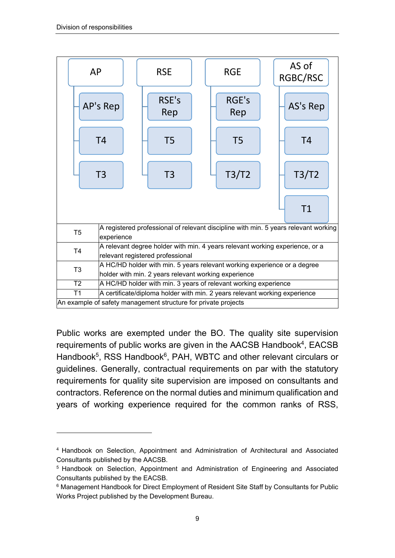$\overline{a}$ 



Public works are exempted under the BO. The quality site supervision requirements of public works are given in the AACSB Handbook<sup>4</sup>, EACSB Handbook<sup>5</sup>, RSS Handbook<sup>6</sup>, PAH, WBTC and other relevant circulars or guidelines. Generally, contractual requirements on par with the statutory requirements for quality site supervision are imposed on consultants and contractors. Reference on the normal duties and minimum qualification and years of working experience required for the common ranks of RSS,

<sup>4</sup> Handbook on Selection, Appointment and Administration of Architectural and Associated Consultants published by the AACSB.

<sup>5</sup> Handbook on Selection, Appointment and Administration of Engineering and Associated Consultants published by the EACSB.

<sup>&</sup>lt;sup>6</sup> Management Handbook for Direct Employment of Resident Site Staff by Consultants for Public Works Project published by the Development Bureau.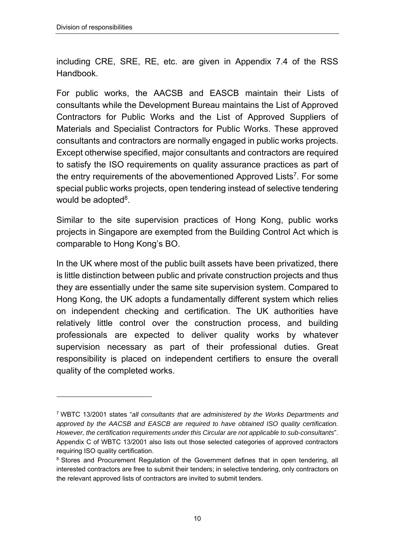-

including CRE, SRE, RE, etc. are given in Appendix 7.4 of the RSS **Handbook** 

For public works, the AACSB and EASCB maintain their Lists of consultants while the Development Bureau maintains the List of Approved Contractors for Public Works and the List of Approved Suppliers of Materials and Specialist Contractors for Public Works. These approved consultants and contractors are normally engaged in public works projects. Except otherwise specified, major consultants and contractors are required to satisfy the ISO requirements on quality assurance practices as part of the entry requirements of the abovementioned Approved Lists<sup>7</sup>. For some special public works projects, open tendering instead of selective tendering would be adopted<sup>8</sup>.

Similar to the site supervision practices of Hong Kong, public works projects in Singapore are exempted from the Building Control Act which is comparable to Hong Kong's BO.

In the UK where most of the public built assets have been privatized, there is little distinction between public and private construction projects and thus they are essentially under the same site supervision system. Compared to Hong Kong, the UK adopts a fundamentally different system which relies on independent checking and certification. The UK authorities have relatively little control over the construction process, and building professionals are expected to deliver quality works by whatever supervision necessary as part of their professional duties. Great responsibility is placed on independent certifiers to ensure the overall quality of the completed works.

<sup>7</sup> WBTC 13/2001 states "*all consultants that are administered by the Works Departments and approved by the AACSB and EASCB are required to have obtained ISO quality certification. However, the certification requirements under this Circular are not applicable to sub-consultants*". Appendix C of WBTC 13/2001 also lists out those selected categories of approved contractors requiring ISO quality certification.

<sup>&</sup>lt;sup>8</sup> Stores and Procurement Regulation of the Government defines that in open tendering, all interested contractors are free to submit their tenders; in selective tendering, only contractors on the relevant approved lists of contractors are invited to submit tenders.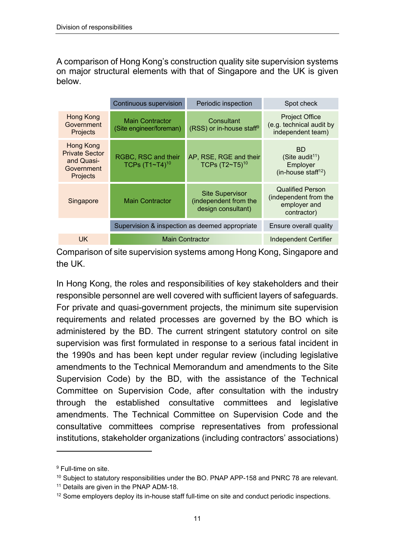A comparison of Hong Kong's construction quality site supervision systems on major structural elements with that of Singapore and the UK is given below.

|                                                                            | Continuous supervision                            | Periodic inspection                                                   | Spot check                                                                              |
|----------------------------------------------------------------------------|---------------------------------------------------|-----------------------------------------------------------------------|-----------------------------------------------------------------------------------------|
| <b>Hong Kong</b><br>Government<br>Projects                                 | <b>Main Contractor</b><br>(Site engineer/foreman) | Consultant<br>$(RSS)$ or in-house staff <sup>9</sup>                  | <b>Project Office</b><br>(e.g. technical audit by<br>independent team)                  |
| Hong Kong<br><b>Private Sector</b><br>and Quasi-<br>Government<br>Projects | RGBC, RSC and their<br>TCPs $(T1~T4)^{10}$        | AP, RSE, RGE and their<br>TCPs $(T2~T5)^{10}$                         | <b>BD</b><br>(Site audit <sup>11</sup> )<br>Employer<br>(in-house staff <sup>12</sup> ) |
| Singapore                                                                  | <b>Main Contractor</b>                            | <b>Site Supervisor</b><br>(independent from the<br>design consultant) | <b>Qualified Person</b><br>(independent from the<br>employer and<br>contractor)         |
|                                                                            | Supervision & inspection as deemed appropriate    | Ensure overall quality                                                |                                                                                         |
| <b>UK</b>                                                                  | <b>Main Contractor</b>                            |                                                                       | <b>Independent Certifier</b>                                                            |
|                                                                            |                                                   |                                                                       |                                                                                         |

Comparison of site supervision systems among Hong Kong, Singapore and the UK.

In Hong Kong, the roles and responsibilities of key stakeholders and their responsible personnel are well covered with sufficient layers of safeguards. For private and quasi-government projects, the minimum site supervision requirements and related processes are governed by the BO which is administered by the BD. The current stringent statutory control on site supervision was first formulated in response to a serious fatal incident in the 1990s and has been kept under regular review (including legislative amendments to the Technical Memorandum and amendments to the Site Supervision Code) by the BD, with the assistance of the Technical Committee on Supervision Code, after consultation with the industry through the established consultative committees and legislative amendments. The Technical Committee on Supervision Code and the consultative committees comprise representatives from professional institutions, stakeholder organizations (including contractors' associations)

-

<sup>9</sup> Full-time on site.

 $10$  Subject to statutory responsibilities under the BO. PNAP APP-158 and PNRC 78 are relevant.

<sup>&</sup>lt;sup>11</sup> Details are given in the PNAP ADM-18.

 $12$  Some employers deploy its in-house staff full-time on site and conduct periodic inspections.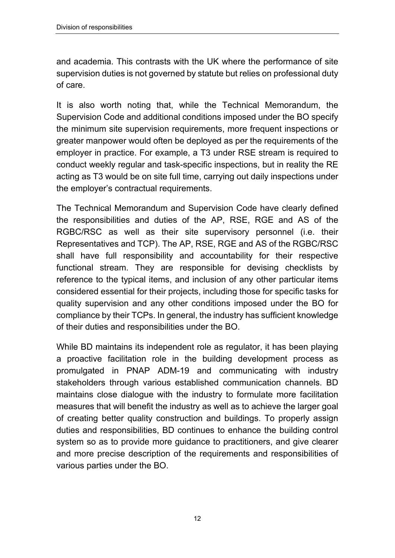and academia. This contrasts with the UK where the performance of site supervision duties is not governed by statute but relies on professional duty of care.

It is also worth noting that, while the Technical Memorandum, the Supervision Code and additional conditions imposed under the BO specify the minimum site supervision requirements, more frequent inspections or greater manpower would often be deployed as per the requirements of the employer in practice. For example, a T3 under RSE stream is required to conduct weekly regular and task-specific inspections, but in reality the RE acting as T3 would be on site full time, carrying out daily inspections under the employer's contractual requirements.

The Technical Memorandum and Supervision Code have clearly defined the responsibilities and duties of the AP, RSE, RGE and AS of the RGBC/RSC as well as their site supervisory personnel (i.e. their Representatives and TCP). The AP, RSE, RGE and AS of the RGBC/RSC shall have full responsibility and accountability for their respective functional stream. They are responsible for devising checklists by reference to the typical items, and inclusion of any other particular items considered essential for their projects, including those for specific tasks for quality supervision and any other conditions imposed under the BO for compliance by their TCPs. In general, the industry has sufficient knowledge of their duties and responsibilities under the BO.

While BD maintains its independent role as regulator, it has been playing a proactive facilitation role in the building development process as promulgated in PNAP ADM-19 and communicating with industry stakeholders through various established communication channels. BD maintains close dialogue with the industry to formulate more facilitation measures that will benefit the industry as well as to achieve the larger goal of creating better quality construction and buildings. To properly assign duties and responsibilities, BD continues to enhance the building control system so as to provide more guidance to practitioners, and give clearer and more precise description of the requirements and responsibilities of various parties under the BO.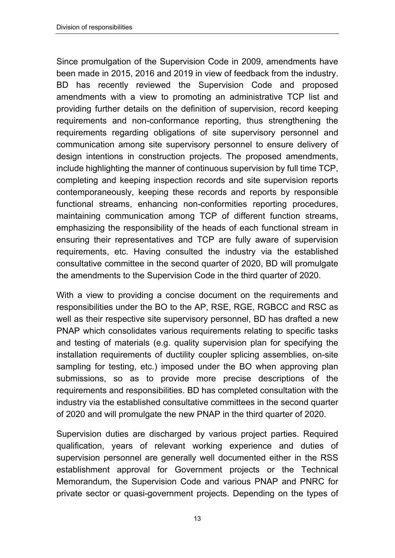Since promulgation of the Supervision Code in 2009, amendments have been made in 2015, 2016 and 2019 in view of feedback from the industry. BD has recently reviewed the Supervision Code and proposed amendments with a view to promoting an administrative TCP list and providing further details on the definition of supervision, record keeping requirements and non-conformance reporting, thus strengthening the requirements regarding obligations of site supervisory personnel and communication among site supervisory personnel to ensure delivery of design intentions in construction projects. The proposed amendments, include highlighting the manner of continuous supervision by full time TCP, completing and keeping inspection records and site supervision reports contemporaneously, keeping these records and reports by responsible functional streams, enhancing non-conformities reporting procedures, maintaining communication among TCP of different function streams, emphasizing the responsibility of the heads of each functional stream in ensuring their representatives and TCP are fully aware of supervision requirements, etc. Having consulted the industry via the established consultative committee in the second quarter of 2020, BD will promulgate the amendments to the Supervision Code in the third quarter of 2020.

With a view to providing a concise document on the requirements and responsibilities under the BO to the AP, RSE, RGE, RGBCC and RSC as well as their respective site supervisory personnel, BD has drafted a new PNAP which consolidates various requirements relating to specific tasks and testing of materials (e.g. quality supervision plan for specifying the installation requirements of ductility coupler splicing assemblies, on-site sampling for testing, etc.) imposed under the BO when approving plan submissions, so as to provide more precise descriptions of the requirements and responsibilities. BD has completed consultation with the industry via the established consultative committees in the second quarter of 2020 and will promulgate the new PNAP in the third quarter of 2020.

Supervision duties are discharged by various project parties. Required qualification, years of relevant working experience and duties of supervision personnel are generally well documented either in the RSS establishment approval for Government projects or the Technical Memorandum, the Supervision Code and various PNAP and PNRC for private sector or quasi-government projects. Depending on the types of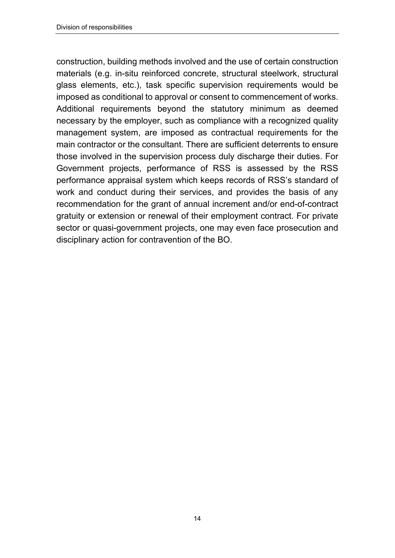construction, building methods involved and the use of certain construction materials (e.g. in-situ reinforced concrete, structural steelwork, structural glass elements, etc.), task specific supervision requirements would be imposed as conditional to approval or consent to commencement of works. Additional requirements beyond the statutory minimum as deemed necessary by the employer, such as compliance with a recognized quality management system, are imposed as contractual requirements for the main contractor or the consultant. There are sufficient deterrents to ensure those involved in the supervision process duly discharge their duties. For Government projects, performance of RSS is assessed by the RSS performance appraisal system which keeps records of RSS's standard of work and conduct during their services, and provides the basis of any recommendation for the grant of annual increment and/or end-of-contract gratuity or extension or renewal of their employment contract. For private sector or quasi-government projects, one may even face prosecution and disciplinary action for contravention of the BO.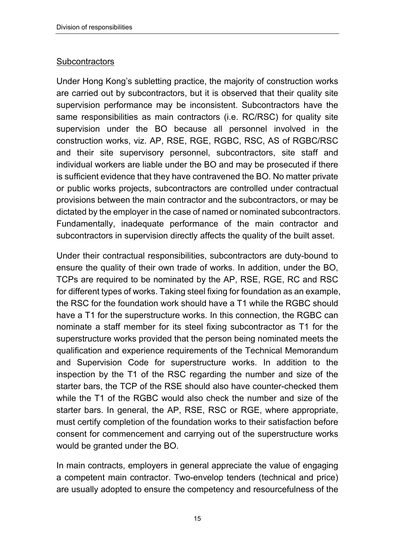#### **Subcontractors**

Under Hong Kong's subletting practice, the majority of construction works are carried out by subcontractors, but it is observed that their quality site supervision performance may be inconsistent. Subcontractors have the same responsibilities as main contractors (i.e. RC/RSC) for quality site supervision under the BO because all personnel involved in the construction works, viz. AP, RSE, RGE, RGBC, RSC, AS of RGBC/RSC and their site supervisory personnel, subcontractors, site staff and individual workers are liable under the BO and may be prosecuted if there is sufficient evidence that they have contravened the BO. No matter private or public works projects, subcontractors are controlled under contractual provisions between the main contractor and the subcontractors, or may be dictated by the employer in the case of named or nominated subcontractors. Fundamentally, inadequate performance of the main contractor and subcontractors in supervision directly affects the quality of the built asset.

Under their contractual responsibilities, subcontractors are duty-bound to ensure the quality of their own trade of works. In addition, under the BO, TCPs are required to be nominated by the AP, RSE, RGE, RC and RSC for different types of works. Taking steel fixing for foundation as an example, the RSC for the foundation work should have a T1 while the RGBC should have a T1 for the superstructure works. In this connection, the RGBC can nominate a staff member for its steel fixing subcontractor as T1 for the superstructure works provided that the person being nominated meets the qualification and experience requirements of the Technical Memorandum and Supervision Code for superstructure works. In addition to the inspection by the T1 of the RSC regarding the number and size of the starter bars, the TCP of the RSE should also have counter-checked them while the T1 of the RGBC would also check the number and size of the starter bars. In general, the AP, RSE, RSC or RGE, where appropriate, must certify completion of the foundation works to their satisfaction before consent for commencement and carrying out of the superstructure works would be granted under the BO.

In main contracts, employers in general appreciate the value of engaging a competent main contractor. Two-envelop tenders (technical and price) are usually adopted to ensure the competency and resourcefulness of the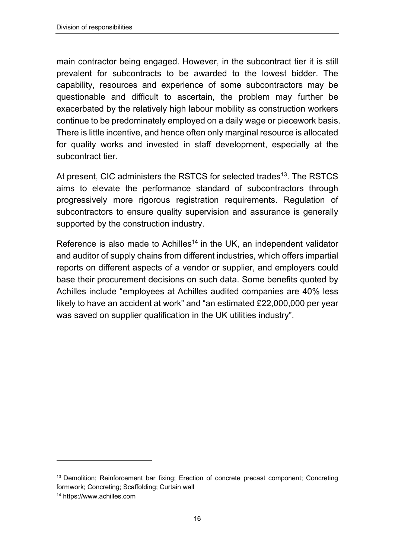main contractor being engaged. However, in the subcontract tier it is still prevalent for subcontracts to be awarded to the lowest bidder. The capability, resources and experience of some subcontractors may be questionable and difficult to ascertain, the problem may further be exacerbated by the relatively high labour mobility as construction workers continue to be predominately employed on a daily wage or piecework basis. There is little incentive, and hence often only marginal resource is allocated for quality works and invested in staff development, especially at the subcontract tier.

At present, CIC administers the RSTCS for selected trades<sup>13</sup>. The RSTCS aims to elevate the performance standard of subcontractors through progressively more rigorous registration requirements. Regulation of subcontractors to ensure quality supervision and assurance is generally supported by the construction industry.

Reference is also made to Achilles<sup>14</sup> in the UK, an independent validator and auditor of supply chains from different industries, which offers impartial reports on different aspects of a vendor or supplier, and employers could base their procurement decisions on such data. Some benefits quoted by Achilles include "employees at Achilles audited companies are 40% less likely to have an accident at work" and "an estimated £22,000,000 per year was saved on supplier qualification in the UK utilities industry".

-

<sup>&</sup>lt;sup>13</sup> Demolition; Reinforcement bar fixing; Erection of concrete precast component; Concreting formwork; Concreting; Scaffolding; Curtain wall

<sup>14</sup> https://www.achilles.com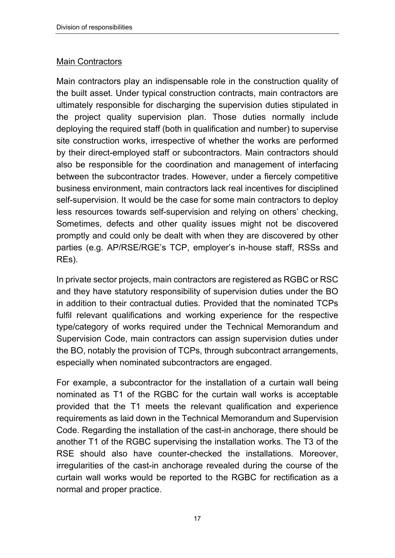#### **Main Contractors**

Main contractors play an indispensable role in the construction quality of the built asset. Under typical construction contracts, main contractors are ultimately responsible for discharging the supervision duties stipulated in the project quality supervision plan. Those duties normally include deploying the required staff (both in qualification and number) to supervise site construction works, irrespective of whether the works are performed by their direct-employed staff or subcontractors. Main contractors should also be responsible for the coordination and management of interfacing between the subcontractor trades. However, under a fiercely competitive business environment, main contractors lack real incentives for disciplined self-supervision. It would be the case for some main contractors to deploy less resources towards self-supervision and relying on others' checking, Sometimes, defects and other quality issues might not be discovered promptly and could only be dealt with when they are discovered by other parties (e.g. AP/RSE/RGE's TCP, employer's in-house staff, RSSs and REs).

In private sector projects, main contractors are registered as RGBC or RSC and they have statutory responsibility of supervision duties under the BO in addition to their contractual duties. Provided that the nominated TCPs fulfil relevant qualifications and working experience for the respective type/category of works required under the Technical Memorandum and Supervision Code, main contractors can assign supervision duties under the BO, notably the provision of TCPs, through subcontract arrangements, especially when nominated subcontractors are engaged.

For example, a subcontractor for the installation of a curtain wall being nominated as T1 of the RGBC for the curtain wall works is acceptable provided that the T1 meets the relevant qualification and experience requirements as laid down in the Technical Memorandum and Supervision Code. Regarding the installation of the cast-in anchorage, there should be another T1 of the RGBC supervising the installation works. The T3 of the RSE should also have counter-checked the installations. Moreover, irregularities of the cast-in anchorage revealed during the course of the curtain wall works would be reported to the RGBC for rectification as a normal and proper practice.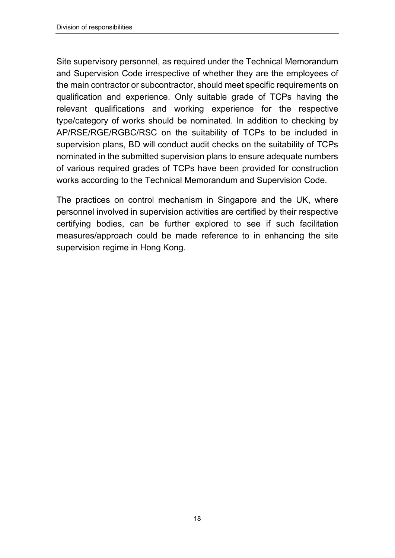Site supervisory personnel, as required under the Technical Memorandum and Supervision Code irrespective of whether they are the employees of the main contractor or subcontractor, should meet specific requirements on qualification and experience. Only suitable grade of TCPs having the relevant qualifications and working experience for the respective type/category of works should be nominated. In addition to checking by AP/RSE/RGE/RGBC/RSC on the suitability of TCPs to be included in supervision plans, BD will conduct audit checks on the suitability of TCPs nominated in the submitted supervision plans to ensure adequate numbers of various required grades of TCPs have been provided for construction works according to the Technical Memorandum and Supervision Code.

The practices on control mechanism in Singapore and the UK, where personnel involved in supervision activities are certified by their respective certifying bodies, can be further explored to see if such facilitation measures/approach could be made reference to in enhancing the site supervision regime in Hong Kong.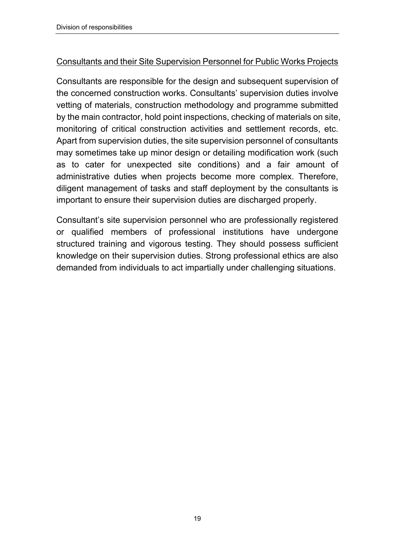#### Consultants and their Site Supervision Personnel for Public Works Projects

Consultants are responsible for the design and subsequent supervision of the concerned construction works. Consultants' supervision duties involve vetting of materials, construction methodology and programme submitted by the main contractor, hold point inspections, checking of materials on site, monitoring of critical construction activities and settlement records, etc. Apart from supervision duties, the site supervision personnel of consultants may sometimes take up minor design or detailing modification work (such as to cater for unexpected site conditions) and a fair amount of administrative duties when projects become more complex. Therefore, diligent management of tasks and staff deployment by the consultants is important to ensure their supervision duties are discharged properly.

Consultant's site supervision personnel who are professionally registered or qualified members of professional institutions have undergone structured training and vigorous testing. They should possess sufficient knowledge on their supervision duties. Strong professional ethics are also demanded from individuals to act impartially under challenging situations.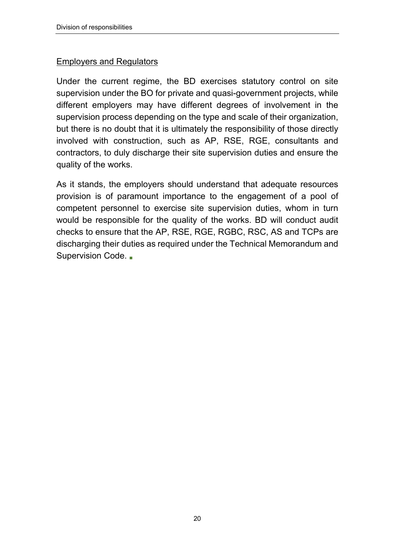#### Employers and Regulators

Under the current regime, the BD exercises statutory control on site supervision under the BO for private and quasi-government projects, while different employers may have different degrees of involvement in the supervision process depending on the type and scale of their organization, but there is no doubt that it is ultimately the responsibility of those directly involved with construction, such as AP, RSE, RGE, consultants and contractors, to duly discharge their site supervision duties and ensure the quality of the works.

As it stands, the employers should understand that adequate resources provision is of paramount importance to the engagement of a pool of competent personnel to exercise site supervision duties, whom in turn would be responsible for the quality of the works. BD will conduct audit checks to ensure that the AP, RSE, RGE, RGBC, RSC, AS and TCPs are discharging their duties as required under the Technical Memorandum and Supervision Code. ■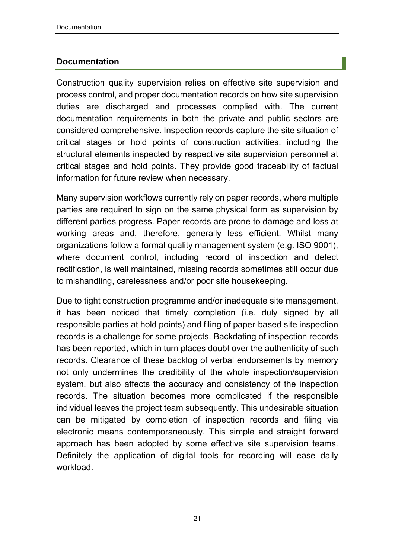#### **Documentation**

Construction quality supervision relies on effective site supervision and process control, and proper documentation records on how site supervision duties are discharged and processes complied with. The current documentation requirements in both the private and public sectors are considered comprehensive. Inspection records capture the site situation of critical stages or hold points of construction activities, including the structural elements inspected by respective site supervision personnel at critical stages and hold points. They provide good traceability of factual information for future review when necessary.

Many supervision workflows currently rely on paper records, where multiple parties are required to sign on the same physical form as supervision by different parties progress. Paper records are prone to damage and loss at working areas and, therefore, generally less efficient. Whilst many organizations follow a formal quality management system (e.g. ISO 9001), where document control, including record of inspection and defect rectification, is well maintained, missing records sometimes still occur due to mishandling, carelessness and/or poor site housekeeping.

Due to tight construction programme and/or inadequate site management, it has been noticed that timely completion (i.e. duly signed by all responsible parties at hold points) and filing of paper-based site inspection records is a challenge for some projects. Backdating of inspection records has been reported, which in turn places doubt over the authenticity of such records. Clearance of these backlog of verbal endorsements by memory not only undermines the credibility of the whole inspection/supervision system, but also affects the accuracy and consistency of the inspection records. The situation becomes more complicated if the responsible individual leaves the project team subsequently. This undesirable situation can be mitigated by completion of inspection records and filing via electronic means contemporaneously. This simple and straight forward approach has been adopted by some effective site supervision teams. Definitely the application of digital tools for recording will ease daily workload.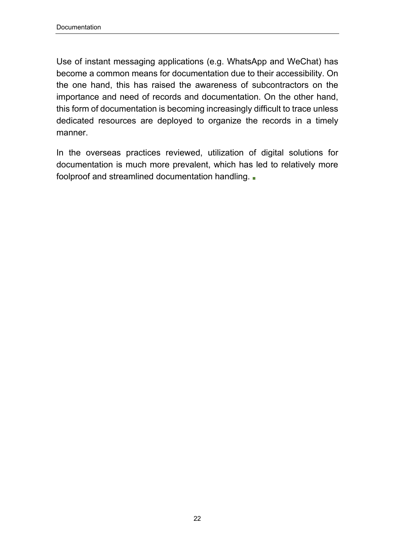Use of instant messaging applications (e.g. WhatsApp and WeChat) has become a common means for documentation due to their accessibility. On the one hand, this has raised the awareness of subcontractors on the importance and need of records and documentation. On the other hand, this form of documentation is becoming increasingly difficult to trace unless dedicated resources are deployed to organize the records in a timely manner.

In the overseas practices reviewed, utilization of digital solutions for documentation is much more prevalent, which has led to relatively more foolproof and streamlined documentation handling. ■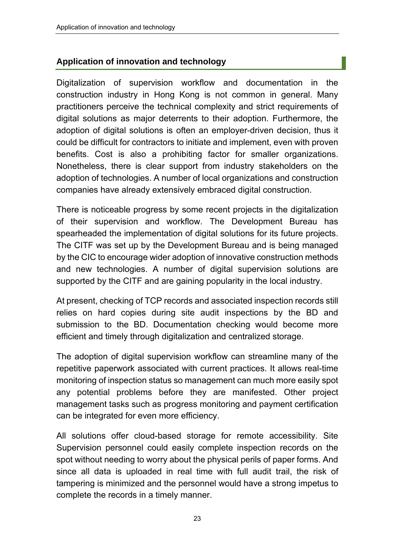#### **Application of innovation and technology**

Digitalization of supervision workflow and documentation in the construction industry in Hong Kong is not common in general. Many practitioners perceive the technical complexity and strict requirements of digital solutions as major deterrents to their adoption. Furthermore, the adoption of digital solutions is often an employer-driven decision, thus it could be difficult for contractors to initiate and implement, even with proven benefits. Cost is also a prohibiting factor for smaller organizations. Nonetheless, there is clear support from industry stakeholders on the adoption of technologies. A number of local organizations and construction companies have already extensively embraced digital construction.

There is noticeable progress by some recent projects in the digitalization of their supervision and workflow. The Development Bureau has spearheaded the implementation of digital solutions for its future projects. The CITF was set up by the Development Bureau and is being managed by the CIC to encourage wider adoption of innovative construction methods and new technologies. A number of digital supervision solutions are supported by the CITF and are gaining popularity in the local industry.

At present, checking of TCP records and associated inspection records still relies on hard copies during site audit inspections by the BD and submission to the BD. Documentation checking would become more efficient and timely through digitalization and centralized storage.

The adoption of digital supervision workflow can streamline many of the repetitive paperwork associated with current practices. It allows real-time monitoring of inspection status so management can much more easily spot any potential problems before they are manifested. Other project management tasks such as progress monitoring and payment certification can be integrated for even more efficiency.

All solutions offer cloud-based storage for remote accessibility. Site Supervision personnel could easily complete inspection records on the spot without needing to worry about the physical perils of paper forms. And since all data is uploaded in real time with full audit trail, the risk of tampering is minimized and the personnel would have a strong impetus to complete the records in a timely manner.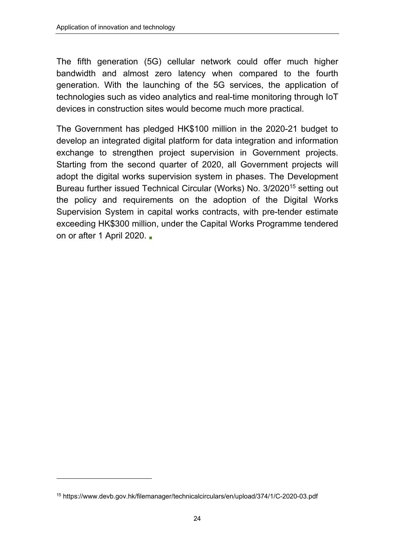The fifth generation (5G) cellular network could offer much higher bandwidth and almost zero latency when compared to the fourth generation. With the launching of the 5G services, the application of technologies such as video analytics and real-time monitoring through IoT devices in construction sites would become much more practical.

The Government has pledged HK\$100 million in the 2020-21 budget to develop an integrated digital platform for data integration and information exchange to strengthen project supervision in Government projects. Starting from the second quarter of 2020, all Government projects will adopt the digital works supervision system in phases. The Development Bureau further issued Technical Circular (Works) No. 3/2020<sup>15</sup> setting out the policy and requirements on the adoption of the Digital Works Supervision System in capital works contracts, with pre-tender estimate exceeding HK\$300 million, under the Capital Works Programme tendered on or after 1 April 2020.

 $\overline{a}$ 

<sup>15</sup> https://www.devb.gov.hk/filemanager/technicalcirculars/en/upload/374/1/C-2020-03.pdf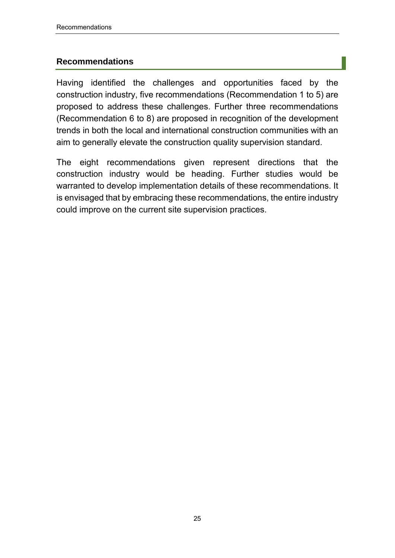#### **Recommendations**

Having identified the challenges and opportunities faced by the construction industry, five recommendations (Recommendation 1 to 5) are proposed to address these challenges. Further three recommendations (Recommendation 6 to 8) are proposed in recognition of the development trends in both the local and international construction communities with an aim to generally elevate the construction quality supervision standard.

The eight recommendations given represent directions that the construction industry would be heading. Further studies would be warranted to develop implementation details of these recommendations. It is envisaged that by embracing these recommendations, the entire industry could improve on the current site supervision practices.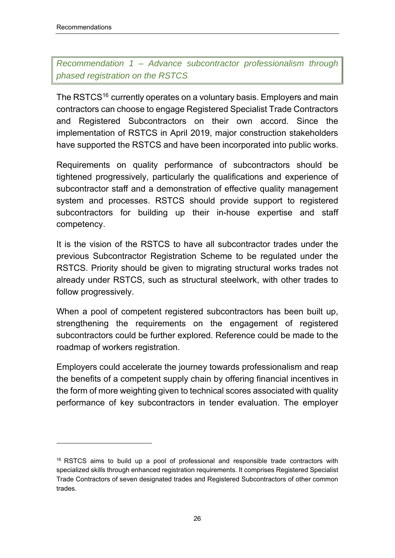-

# *Recommendation 1 – Advance subcontractor professionalism through phased registration on the RSTCS*

The RSTCS<sup>16</sup> currently operates on a voluntary basis. Employers and main contractors can choose to engage Registered Specialist Trade Contractors and Registered Subcontractors on their own accord. Since the implementation of RSTCS in April 2019, major construction stakeholders have supported the RSTCS and have been incorporated into public works.

Requirements on quality performance of subcontractors should be tightened progressively, particularly the qualifications and experience of subcontractor staff and a demonstration of effective quality management system and processes. RSTCS should provide support to registered subcontractors for building up their in-house expertise and staff competency.

It is the vision of the RSTCS to have all subcontractor trades under the previous Subcontractor Registration Scheme to be regulated under the RSTCS. Priority should be given to migrating structural works trades not already under RSTCS, such as structural steelwork, with other trades to follow progressively.

When a pool of competent registered subcontractors has been built up, strengthening the requirements on the engagement of registered subcontractors could be further explored. Reference could be made to the roadmap of workers registration.

Employers could accelerate the journey towards professionalism and reap the benefits of a competent supply chain by offering financial incentives in the form of more weighting given to technical scores associated with quality performance of key subcontractors in tender evaluation. The employer

 $16$  RSTCS aims to build up a pool of professional and responsible trade contractors with specialized skills through enhanced registration requirements. It comprises Registered Specialist Trade Contractors of seven designated trades and Registered Subcontractors of other common trades.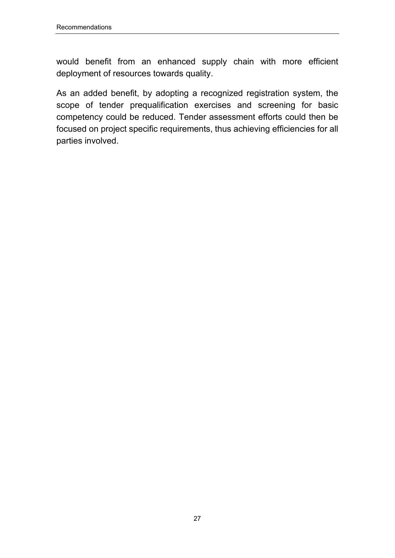would benefit from an enhanced supply chain with more efficient deployment of resources towards quality.

As an added benefit, by adopting a recognized registration system, the scope of tender prequalification exercises and screening for basic competency could be reduced. Tender assessment efforts could then be focused on project specific requirements, thus achieving efficiencies for all parties involved.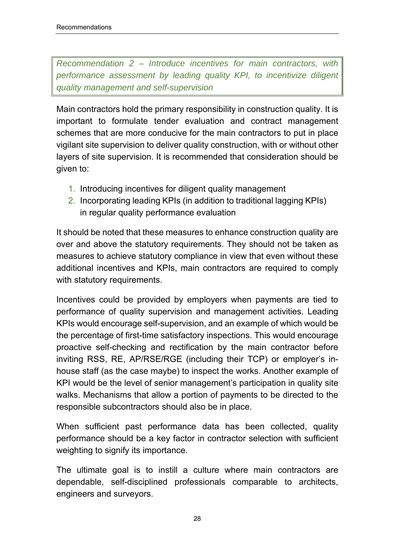*Recommendation 2 – Introduce incentives for main contractors, with performance assessment by leading quality KPI, to incentivize diligent quality management and self-supervision* 

Main contractors hold the primary responsibility in construction quality. It is important to formulate tender evaluation and contract management schemes that are more conducive for the main contractors to put in place vigilant site supervision to deliver quality construction, with or without other layers of site supervision. It is recommended that consideration should be given to:

- 1. Introducing incentives for diligent quality management
- 2. Incorporating leading KPIs (in addition to traditional lagging KPIs) in regular quality performance evaluation

It should be noted that these measures to enhance construction quality are over and above the statutory requirements. They should not be taken as measures to achieve statutory compliance in view that even without these additional incentives and KPIs, main contractors are required to comply with statutory requirements.

Incentives could be provided by employers when payments are tied to performance of quality supervision and management activities. Leading KPIs would encourage self-supervision, and an example of which would be the percentage of first-time satisfactory inspections. This would encourage proactive self-checking and rectification by the main contractor before inviting RSS, RE, AP/RSE/RGE (including their TCP) or employer's inhouse staff (as the case maybe) to inspect the works. Another example of KPI would be the level of senior management's participation in quality site walks. Mechanisms that allow a portion of payments to be directed to the responsible subcontractors should also be in place.

When sufficient past performance data has been collected, quality performance should be a key factor in contractor selection with sufficient weighting to signify its importance.

The ultimate goal is to instill a culture where main contractors are dependable, self-disciplined professionals comparable to architects, engineers and surveyors.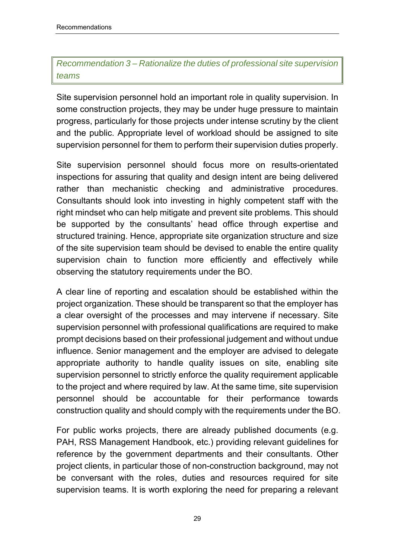# *Recommendation 3 – Rationalize the duties of professional site supervision teams*

Site supervision personnel hold an important role in quality supervision. In some construction projects, they may be under huge pressure to maintain progress, particularly for those projects under intense scrutiny by the client and the public. Appropriate level of workload should be assigned to site supervision personnel for them to perform their supervision duties properly.

Site supervision personnel should focus more on results-orientated inspections for assuring that quality and design intent are being delivered rather than mechanistic checking and administrative procedures. Consultants should look into investing in highly competent staff with the right mindset who can help mitigate and prevent site problems. This should be supported by the consultants' head office through expertise and structured training. Hence, appropriate site organization structure and size of the site supervision team should be devised to enable the entire quality supervision chain to function more efficiently and effectively while observing the statutory requirements under the BO.

A clear line of reporting and escalation should be established within the project organization. These should be transparent so that the employer has a clear oversight of the processes and may intervene if necessary. Site supervision personnel with professional qualifications are required to make prompt decisions based on their professional judgement and without undue influence. Senior management and the employer are advised to delegate appropriate authority to handle quality issues on site, enabling site supervision personnel to strictly enforce the quality requirement applicable to the project and where required by law. At the same time, site supervision personnel should be accountable for their performance towards construction quality and should comply with the requirements under the BO.

For public works projects, there are already published documents (e.g. PAH, RSS Management Handbook, etc.) providing relevant guidelines for reference by the government departments and their consultants. Other project clients, in particular those of non-construction background, may not be conversant with the roles, duties and resources required for site supervision teams. It is worth exploring the need for preparing a relevant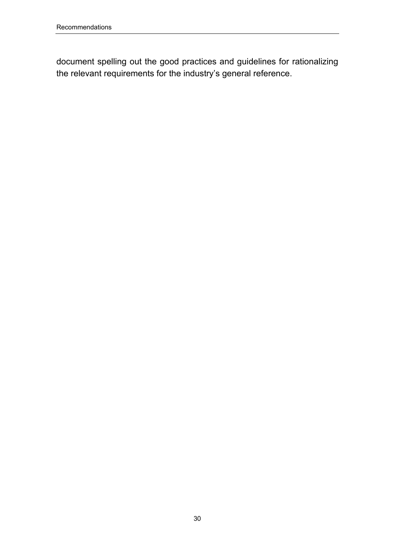document spelling out the good practices and guidelines for rationalizing the relevant requirements for the industry's general reference.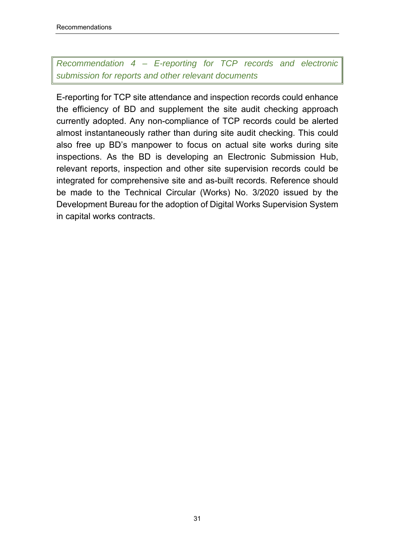## *Recommendation 4 – E-reporting for TCP records and electronic submission for reports and other relevant documents*

E-reporting for TCP site attendance and inspection records could enhance the efficiency of BD and supplement the site audit checking approach currently adopted. Any non-compliance of TCP records could be alerted almost instantaneously rather than during site audit checking. This could also free up BD's manpower to focus on actual site works during site inspections. As the BD is developing an Electronic Submission Hub, relevant reports, inspection and other site supervision records could be integrated for comprehensive site and as-built records. Reference should be made to the Technical Circular (Works) No. 3/2020 issued by the Development Bureau for the adoption of Digital Works Supervision System in capital works contracts.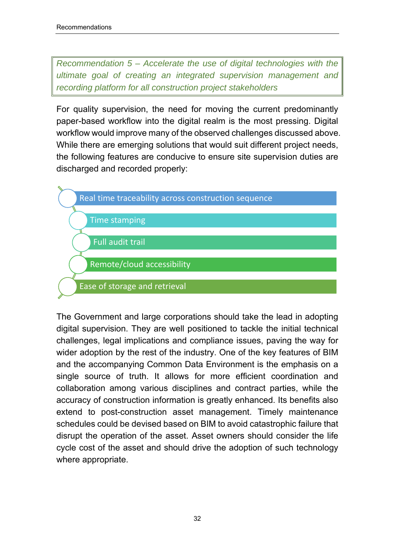*Recommendation 5 – Accelerate the use of digital technologies with the ultimate goal of creating an integrated supervision management and recording platform for all construction project stakeholders* 

For quality supervision, the need for moving the current predominantly paper-based workflow into the digital realm is the most pressing. Digital workflow would improve many of the observed challenges discussed above. While there are emerging solutions that would suit different project needs, the following features are conducive to ensure site supervision duties are discharged and recorded properly:



The Government and large corporations should take the lead in adopting digital supervision. They are well positioned to tackle the initial technical challenges, legal implications and compliance issues, paving the way for wider adoption by the rest of the industry. One of the key features of BIM and the accompanying Common Data Environment is the emphasis on a single source of truth. It allows for more efficient coordination and collaboration among various disciplines and contract parties, while the accuracy of construction information is greatly enhanced. Its benefits also extend to post-construction asset management. Timely maintenance schedules could be devised based on BIM to avoid catastrophic failure that disrupt the operation of the asset. Asset owners should consider the life cycle cost of the asset and should drive the adoption of such technology where appropriate.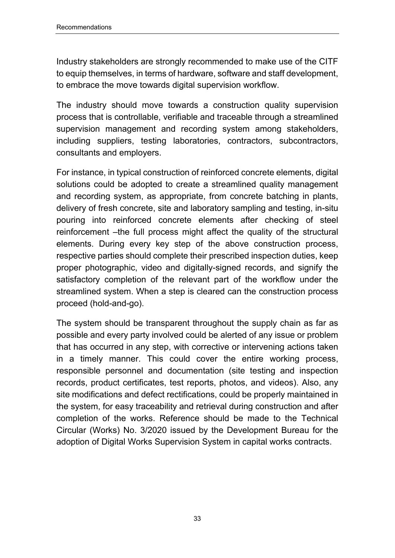Industry stakeholders are strongly recommended to make use of the CITF to equip themselves, in terms of hardware, software and staff development, to embrace the move towards digital supervision workflow.

The industry should move towards a construction quality supervision process that is controllable, verifiable and traceable through a streamlined supervision management and recording system among stakeholders, including suppliers, testing laboratories, contractors, subcontractors, consultants and employers.

For instance, in typical construction of reinforced concrete elements, digital solutions could be adopted to create a streamlined quality management and recording system, as appropriate, from concrete batching in plants, delivery of fresh concrete, site and laboratory sampling and testing, in-situ pouring into reinforced concrete elements after checking of steel reinforcement –the full process might affect the quality of the structural elements. During every key step of the above construction process, respective parties should complete their prescribed inspection duties, keep proper photographic, video and digitally-signed records, and signify the satisfactory completion of the relevant part of the workflow under the streamlined system. When a step is cleared can the construction process proceed (hold-and-go).

The system should be transparent throughout the supply chain as far as possible and every party involved could be alerted of any issue or problem that has occurred in any step, with corrective or intervening actions taken in a timely manner. This could cover the entire working process, responsible personnel and documentation (site testing and inspection records, product certificates, test reports, photos, and videos). Also, any site modifications and defect rectifications, could be properly maintained in the system, for easy traceability and retrieval during construction and after completion of the works. Reference should be made to the Technical Circular (Works) No. 3/2020 issued by the Development Bureau for the adoption of Digital Works Supervision System in capital works contracts.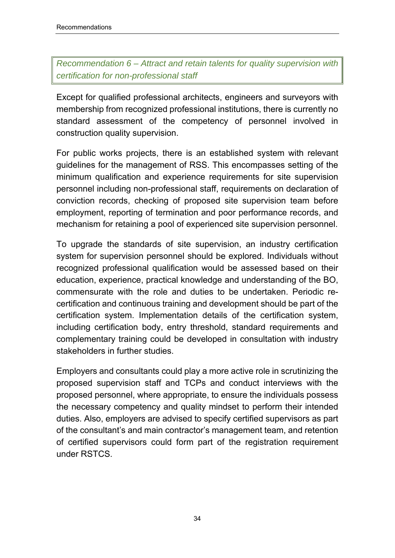*Recommendation 6 – Attract and retain talents for quality supervision with certification for non-professional staff* 

Except for qualified professional architects, engineers and surveyors with membership from recognized professional institutions, there is currently no standard assessment of the competency of personnel involved in construction quality supervision.

For public works projects, there is an established system with relevant guidelines for the management of RSS. This encompasses setting of the minimum qualification and experience requirements for site supervision personnel including non-professional staff, requirements on declaration of conviction records, checking of proposed site supervision team before employment, reporting of termination and poor performance records, and mechanism for retaining a pool of experienced site supervision personnel.

To upgrade the standards of site supervision, an industry certification system for supervision personnel should be explored. Individuals without recognized professional qualification would be assessed based on their education, experience, practical knowledge and understanding of the BO, commensurate with the role and duties to be undertaken. Periodic recertification and continuous training and development should be part of the certification system. Implementation details of the certification system, including certification body, entry threshold, standard requirements and complementary training could be developed in consultation with industry stakeholders in further studies.

Employers and consultants could play a more active role in scrutinizing the proposed supervision staff and TCPs and conduct interviews with the proposed personnel, where appropriate, to ensure the individuals possess the necessary competency and quality mindset to perform their intended duties. Also, employers are advised to specify certified supervisors as part of the consultant's and main contractor's management team, and retention of certified supervisors could form part of the registration requirement under RSTCS.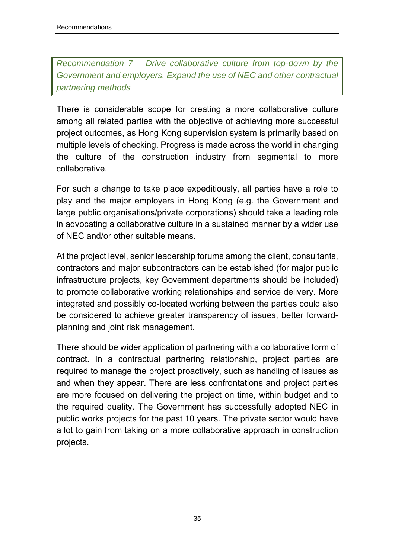*Recommendation 7 – Drive collaborative culture from top-down by the Government and employers. Expand the use of NEC and other contractual partnering methods* 

There is considerable scope for creating a more collaborative culture among all related parties with the objective of achieving more successful project outcomes, as Hong Kong supervision system is primarily based on multiple levels of checking. Progress is made across the world in changing the culture of the construction industry from segmental to more collaborative.

For such a change to take place expeditiously, all parties have a role to play and the major employers in Hong Kong (e.g. the Government and large public organisations/private corporations) should take a leading role in advocating a collaborative culture in a sustained manner by a wider use of NEC and/or other suitable means.

At the project level, senior leadership forums among the client, consultants, contractors and major subcontractors can be established (for major public infrastructure projects, key Government departments should be included) to promote collaborative working relationships and service delivery. More integrated and possibly co-located working between the parties could also be considered to achieve greater transparency of issues, better forwardplanning and joint risk management.

There should be wider application of partnering with a collaborative form of contract. In a contractual partnering relationship, project parties are required to manage the project proactively, such as handling of issues as and when they appear. There are less confrontations and project parties are more focused on delivering the project on time, within budget and to the required quality. The Government has successfully adopted NEC in public works projects for the past 10 years. The private sector would have a lot to gain from taking on a more collaborative approach in construction projects.